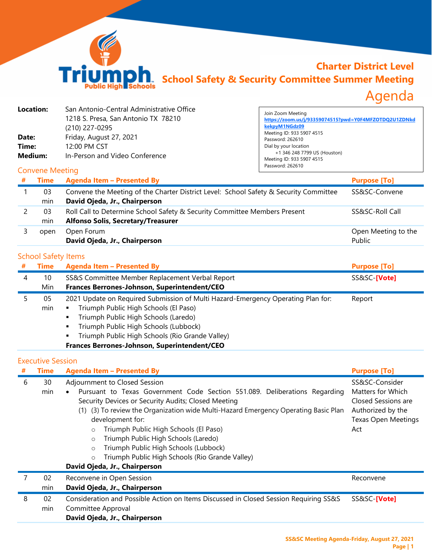

## **Charter District Level School Safety & Security Committee Summer Meeting**

## Agenda

| Location:<br>Date:<br>Time:<br><b>Medium:</b> |                                       | San Antonio-Central Administrative Office<br>1218 S. Presa, San Antonio TX 78210<br>(210) 227-0295<br>Friday, August 27, 2021<br>12:00 PM CST<br>In-Person and Video Conference                                                                                                                                                                                           | Join Zoom Meeting<br>https://zoom.us/j/93359074515?pwd=Y0F4MFZOTDQ2U1ZDNkd<br>kekpyM1NGdz09<br>Meeting ID: 933 5907 4515<br>Password: 262610<br>Dial by your location<br>+1 346 248 7799 US (Houston)<br>Meeting ID: 933 5907 4515<br>Password: 262610 |                                                                                                                      |
|-----------------------------------------------|---------------------------------------|---------------------------------------------------------------------------------------------------------------------------------------------------------------------------------------------------------------------------------------------------------------------------------------------------------------------------------------------------------------------------|--------------------------------------------------------------------------------------------------------------------------------------------------------------------------------------------------------------------------------------------------------|----------------------------------------------------------------------------------------------------------------------|
| #                                             | <b>Convene Meeting</b><br><b>Time</b> |                                                                                                                                                                                                                                                                                                                                                                           |                                                                                                                                                                                                                                                        |                                                                                                                      |
|                                               |                                       | <b>Agenda Item - Presented By</b>                                                                                                                                                                                                                                                                                                                                         |                                                                                                                                                                                                                                                        | <b>Purpose [To]</b>                                                                                                  |
| $\mathbf{1}$                                  | 03<br>min                             | Convene the Meeting of the Charter District Level: School Safety & Security Committee<br>SS&SC-Convene<br>David Ojeda, Jr., Chairperson                                                                                                                                                                                                                                   |                                                                                                                                                                                                                                                        |                                                                                                                      |
| $\overline{2}$                                | 03<br>min                             | Roll Call to Determine School Safety & Security Committee Members Present<br>SS&SC-Roll Call<br><b>Alfonso Solis, Secretary/Treasurer</b>                                                                                                                                                                                                                                 |                                                                                                                                                                                                                                                        |                                                                                                                      |
| 3                                             | open                                  | Open Forum<br>David Ojeda, Jr., Chairperson                                                                                                                                                                                                                                                                                                                               |                                                                                                                                                                                                                                                        | Open Meeting to the<br>Public                                                                                        |
|                                               | <b>School Safety Items</b>            |                                                                                                                                                                                                                                                                                                                                                                           |                                                                                                                                                                                                                                                        |                                                                                                                      |
| #                                             | <b>Time</b>                           | <b>Agenda Item - Presented By</b>                                                                                                                                                                                                                                                                                                                                         |                                                                                                                                                                                                                                                        | <b>Purpose [To]</b>                                                                                                  |
| $\overline{4}$                                | 10<br>Min                             | SS&S Committee Member Replacement Verbal Report<br>Frances Berrones-Johnson, Superintendent/CEO                                                                                                                                                                                                                                                                           |                                                                                                                                                                                                                                                        | SS&SC-[Vote]                                                                                                         |
| 5                                             | 05<br>min                             | 2021 Update on Required Submission of Multi Hazard-Emergency Operating Plan for:<br>Triumph Public High Schools (El Paso)<br>٠<br>Triumph Public High Schools (Laredo)<br>$\blacksquare$<br>Triumph Public High Schools (Lubbock)<br>$\blacksquare$<br>Triumph Public High Schools (Rio Grande Valley)<br>Frances Berrones-Johnson, Superintendent/CEO                    |                                                                                                                                                                                                                                                        | Report                                                                                                               |
|                                               | <b>Executive Session</b>              |                                                                                                                                                                                                                                                                                                                                                                           |                                                                                                                                                                                                                                                        |                                                                                                                      |
|                                               | <b>Time</b>                           | <b>Agenda Item - Presented By</b>                                                                                                                                                                                                                                                                                                                                         |                                                                                                                                                                                                                                                        | <b>Purpose [To]</b>                                                                                                  |
| 6                                             | 30<br>min                             | Adjournment to Closed Session<br>Pursuant to Texas Government Code Section 551.089. Deliberations Regarding<br>Security Devices or Security Audits; Closed Meeting<br>(1) (3) To review the Organization wide Multi-Hazard Emergency Operating Basic Plan<br>development for:<br>Triumph Public High Schools (El Paso)<br>Triumph Public High Schools (Laredo)<br>$\circ$ |                                                                                                                                                                                                                                                        | SS&SC-Consider<br>Matters for Which<br>Closed Sessions are<br>Authorized by the<br><b>Texas Open Meetings</b><br>Act |

- o Triumph Public High Schools (Lubbock)
- o Triumph Public High Schools (Rio Grande Valley)

**David Ojeda, Jr., Chairperson**

|  | 02<br>min | Reconvene in Open Session<br>David Ojeda, Jr., Chairperson                            | Reconvene            |  |
|--|-----------|---------------------------------------------------------------------------------------|----------------------|--|
|  | 02        | Consideration and Possible Action on Items Discussed in Closed Session Requiring SS&S | SS&SC- <b>[Vote]</b> |  |
|  |           |                                                                                       |                      |  |
|  | min       | Committee Approval                                                                    |                      |  |
|  |           | David Ojeda, Jr., Chairperson                                                         |                      |  |